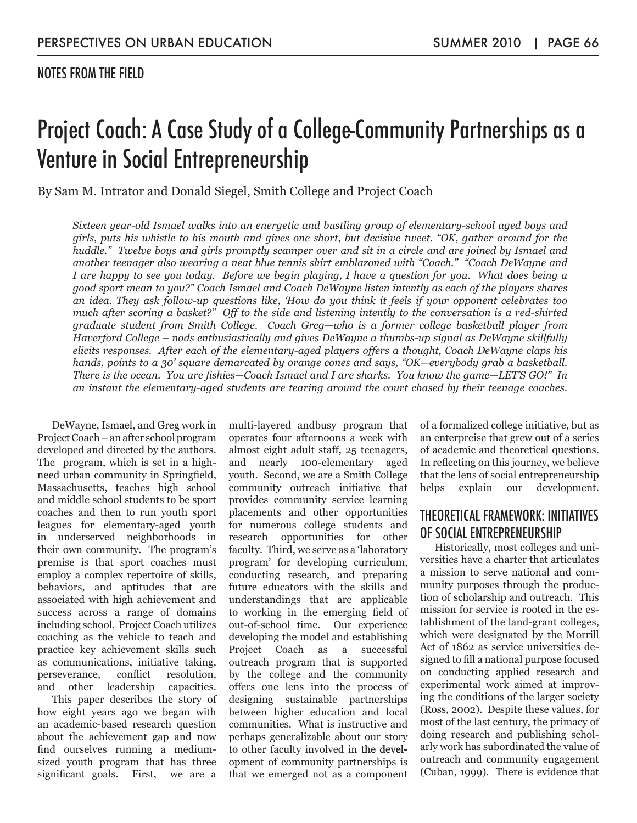#### NOTES FROM THE FIELD

# Project Coach: A Case Study of a College-Community Partnerships as a Venture in Social Entrepreneurship

By Sam M. Intrator and Donald Siegel, Smith College and Project Coach

*Sixteen year-old Ismael walks into an energetic and bustling group of elementary-school aged boys and girls, puts his whistle to his mouth and gives one short, but decisive tweet. "OK, gather around for the huddle." Twelve boys and girls promptly scamper over and sit in a circle and are joined by Ismael and another teenager also wearing a neat blue tennis shirt emblazoned with "Coach." "Coach DeWayne and I are happy to see you today. Before we begin playing, I have a question for you. What does being a good sport mean to you?" Coach Ismael and Coach DeWayne listen intently as each of the players shares an idea. They ask follow-up questions like, 'How do you think it feels if your opponent celebrates too much after scoring a basket?" Off to the side and listening intently to the conversation is a red-shirted graduate student from Smith College. Coach Greg—who is a former college basketball player from Haverford College – nods enthusiastically and gives DeWayne a thumbs-up signal as DeWayne skillfully elicits responses. After each of the elementary-aged players offers a thought, Coach DeWayne claps his hands, points to a 30' square demarcated by orange cones and says, "OK—everybody grab a basketball. There is the ocean. You are fishies—Coach Ismael and I are sharks. You know the game—LET'S GO!" In an instant the elementary-aged students are tearing around the court chased by their teenage coaches.*

DeWayne, Ismael, and Greg work in Project Coach – an after school program developed and directed by the authors. The program, which is set in a highneed urban community in Springfield, Massachusetts, teaches high school and middle school students to be sport coaches and then to run youth sport leagues for elementary-aged youth in underserved neighborhoods in their own community. The program's premise is that sport coaches must employ a complex repertoire of skills, behaviors, and aptitudes that are associated with high achievement and success across a range of domains including school. Project Coach utilizes coaching as the vehicle to teach and practice key achievement skills such as communications, initiative taking, perseverance, conflict resolution, and other leadership capacities.

This paper describes the story of how eight years ago we began with an academic-based research question about the achievement gap and now find ourselves running a mediumsized youth program that has three significant goals. First, we are a

multi-layered andbusy program that operates four afternoons a week with almost eight adult staff, 25 teenagers, and nearly 100-elementary aged youth. Second, we are a Smith College community outreach initiative that provides community service learning placements and other opportunities for numerous college students and research opportunities for other faculty. Third, we serve as a 'laboratory program' for developing curriculum, conducting research, and preparing future educators with the skills and understandings that are applicable to working in the emerging field of out-of-school time. Our experience developing the model and establishing Project Coach as a successful outreach program that is supported by the college and the community offers one lens into the process of designing sustainable partnerships between higher education and local communities. What is instructive and perhaps generalizable about our story to other faculty involved in the development of community partnerships is that we emerged not as a component of a formalized college initiative, but as an enterpreise that grew out of a series of academic and theoretical questions. In reflecting on this journey, we believe that the lens of social entrepreneurship helps explain our development.

#### THEORETICAL FRAMEWORK: INITIATIVES OF SOCIAL ENTREPRENEURSHIP

Historically, most colleges and universities have a charter that articulates a mission to serve national and community purposes through the production of scholarship and outreach. This mission for service is rooted in the establishment of the land-grant colleges, which were designated by the Morrill Act of 1862 as service universities designed to fill a national purpose focused on conducting applied research and experimental work aimed at improving the conditions of the larger society (Ross, 2002). Despite these values, for most of the last century, the primacy of doing research and publishing scholarly work has subordinated the value of outreach and community engagement (Cuban, 1999). There is evidence that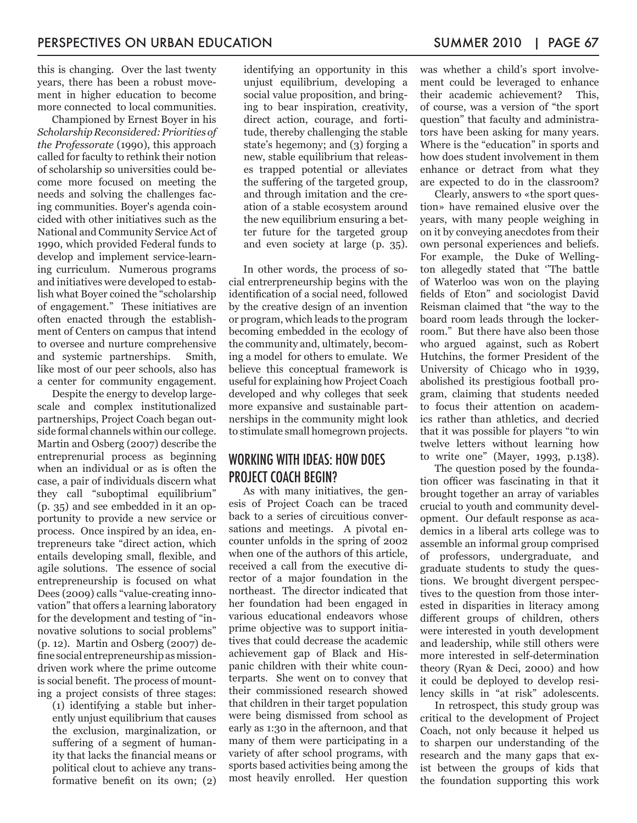this is changing. Over the last twenty years, there has been a robust movement in higher education to become more connected to local communities.

Championed by Ernest Boyer in his *Scholarship Reconsidered: Priorities of the Professorate* (1990), this approach called for faculty to rethink their notion of scholarship so universities could become more focused on meeting the needs and solving the challenges facing communities. Boyer's agenda coincided with other initiatives such as the National and Community Service Act of 1990, which provided Federal funds to develop and implement service-learning curriculum. Numerous programs and initiatives were developed to establish what Boyer coined the "scholarship of engagement." These initiatives are often enacted through the establishment of Centers on campus that intend to oversee and nurture comprehensive and systemic partnerships. Smith, like most of our peer schools, also has a center for community engagement.

Despite the energy to develop largescale and complex institutionalized partnerships, Project Coach began outside formal channels within our college. Martin and Osberg (2007) describe the entreprenurial process as beginning when an individual or as is often the case, a pair of individuals discern what they call "suboptimal equilibrium" (p. 35) and see embedded in it an opportunity to provide a new service or process. Once inspired by an idea, entrepreneurs take "direct action, which entails developing small, flexible, and agile solutions. The essence of social entrepreneurship is focused on what Dees (2009) calls "value-creating innovation" that offers a learning laboratory for the development and testing of "innovative solutions to social problems" (p. 12). Martin and Osberg (2007) define social entrepreneurship as missiondriven work where the prime outcome is social benefit. The process of mounting a project consists of three stages:

(1) identifying a stable but inherently unjust equilibrium that causes the exclusion, marginalization, or suffering of a segment of humanity that lacks the financial means or political clout to achieve any transformative benefit on its own; (2) identifying an opportunity in this unjust equilibrium, developing a social value proposition, and bringing to bear inspiration, creativity, direct action, courage, and fortitude, thereby challenging the stable state's hegemony; and (3) forging a new, stable equilibrium that releases trapped potential or alleviates the suffering of the targeted group, and through imitation and the creation of a stable ecosystem around the new equilibrium ensuring a better future for the targeted group and even society at large (p. 35).

In other words, the process of social entrerpreneurship begins with the identification of a social need, followed by the creative design of an invention or program, which leads to the program becoming embedded in the ecology of the community and, ultimately, becoming a model for others to emulate. We believe this conceptual framework is useful for explaining how Project Coach developed and why colleges that seek more expansive and sustainable partnerships in the community might look to stimulate small homegrown projects.

### WORKING WITH IDEAS: HOW DOES PROJECT COACH BEGIN?

As with many initiatives, the genesis of Project Coach can be traced back to a series of circuitious conversations and meetings. A pivotal encounter unfolds in the spring of 2002 when one of the authors of this article, received a call from the executive director of a major foundation in the northeast. The director indicated that her foundation had been engaged in various educational endeavors whose prime objective was to support initiatives that could decrease the academic achievement gap of Black and Hispanic children with their white counterparts. She went on to convey that their commissioned research showed that children in their target population were being dismissed from school as early as 1:30 in the afternoon, and that many of them were participating in a variety of after school programs, with sports based activities being among the most heavily enrolled. Her question

was whether a child's sport involvement could be leveraged to enhance their academic achievement? This, of course, was a version of "the sport question" that faculty and administrators have been asking for many years. Where is the "education" in sports and how does student involvement in them enhance or detract from what they are expected to do in the classroom?

Clearly, answers to «the sport question» have remained elusive over the years, with many people weighing in on it by conveying anecdotes from their own personal experiences and beliefs. For example, the Duke of Wellington allegedly stated that ''The battle of Waterloo was won on the playing fields of Eton" and sociologist David Reisman claimed that "the way to the board room leads through the lockerroom." But there have also been those who argued against, such as Robert Hutchins, the former President of the University of Chicago who in 1939, abolished its prestigious football program, claiming that students needed to focus their attention on academics rather than athletics, and decried that it was possible for players "to win twelve letters without learning how to write one" (Mayer, 1993, p.138).

The question posed by the foundation officer was fascinating in that it brought together an array of variables crucial to youth and community development. Our default response as academics in a liberal arts college was to assemble an informal group comprised of professors, undergraduate, and graduate students to study the questions. We brought divergent perspectives to the question from those interested in disparities in literacy among different groups of children, others were interested in youth development and leadership, while still others were more interested in self-determination theory (Ryan & Deci, 2000) and how it could be deployed to develop resilency skills in "at risk" adolescents.

In retrospect, this study group was critical to the development of Project Coach, not only because it helped us to sharpen our understanding of the research and the many gaps that exist between the groups of kids that the foundation supporting this work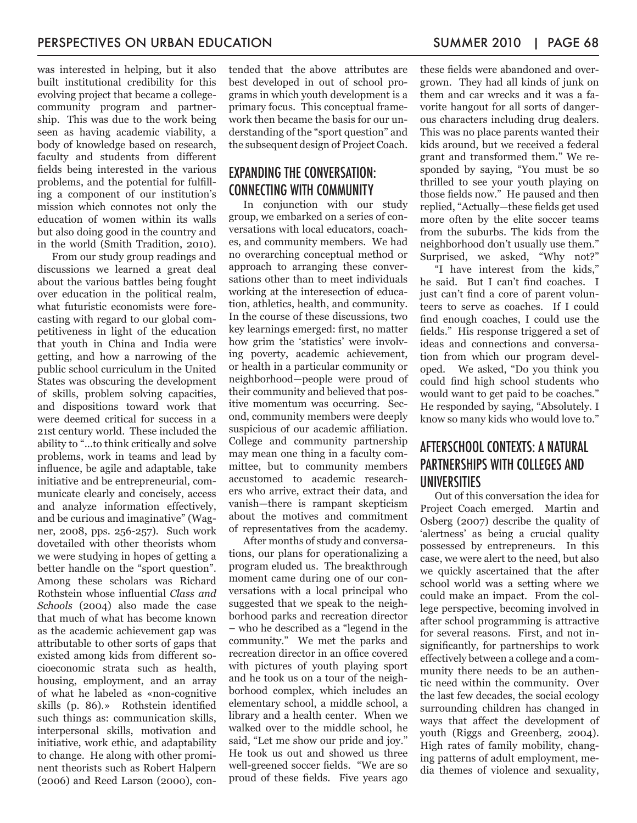was interested in helping, but it also built institutional credibility for this evolving project that became a collegecommunity program and partnership. This was due to the work being seen as having academic viability, a body of knowledge based on research, faculty and students from different fields being interested in the various problems, and the potential for fulfilling a component of our institution's mission which connotes not only the education of women within its walls but also doing good in the country and in the world (Smith Tradition, 2010).

From our study group readings and discussions we learned a great deal about the various battles being fought over education in the political realm, what futuristic economists were forecasting with regard to our global competitiveness in light of the education that youth in China and India were getting, and how a narrowing of the public school curriculum in the United States was obscuring the development of skills, problem solving capacities, and dispositions toward work that were deemed critical for success in a 21st century world. These included the ability to "...to think critically and solve problems, work in teams and lead by influence, be agile and adaptable, take initiative and be entrepreneurial, communicate clearly and concisely, access and analyze information effectively, and be curious and imaginative" (Wagner, 2008, pps. 256-257). Such work dovetailed with other theorists whom we were studying in hopes of getting a better handle on the "sport question". Among these scholars was Richard Rothstein whose influential *Class and Schools* (2004) also made the case that much of what has become known as the academic achievement gap was attributable to other sorts of gaps that existed among kids from different socioeconomic strata such as health, housing, employment, and an array of what he labeled as «non-cognitive skills (p. 86).» Rothstein identified such things as: communication skills, interpersonal skills, motivation and initiative, work ethic, and adaptability to change. He along with other prominent theorists such as Robert Halpern (2006) and Reed Larson (2000), contended that the above attributes are best developed in out of school programs in which youth development is a primary focus. This conceptual framework then became the basis for our understanding of the "sport question" and the subsequent design of Project Coach.

#### EXPANDING THE CONVERSATION: CONNECTING WITH COMMUNITY

In conjunction with our study group, we embarked on a series of conversations with local educators, coaches, and community members. We had no overarching conceptual method or approach to arranging these conversations other than to meet individuals working at the interesection of education, athletics, health, and community. In the course of these discussions, two key learnings emerged: first, no matter how grim the 'statistics' were involving poverty, academic achievement, or health in a particular community or neighborhood—people were proud of their community and believed that positive momentum was occurring. Second, community members were deeply suspicious of our academic affiliation. College and community partnership may mean one thing in a faculty committee, but to community members accustomed to academic researchers who arrive, extract their data, and vanish—there is rampant skepticism about the motives and commitment of representatives from the academy.

After months of study and conversations, our plans for operationalizing a program eluded us. The breakthrough moment came during one of our conversations with a local principal who suggested that we speak to the neighborhood parks and recreation director – who he described as a "legend in the community." We met the parks and recreation director in an office covered with pictures of youth playing sport and he took us on a tour of the neighborhood complex, which includes an elementary school, a middle school, a library and a health center. When we walked over to the middle school, he said, "Let me show our pride and joy." He took us out and showed us three well-greened soccer fields. "We are so proud of these fields. Five years ago

these fields were abandoned and overgrown. They had all kinds of junk on them and car wrecks and it was a favorite hangout for all sorts of dangerous characters including drug dealers. This was no place parents wanted their kids around, but we received a federal grant and transformed them." We responded by saying, "You must be so thrilled to see your youth playing on those fields now." He paused and then replied, "Actually—these fields get used more often by the elite soccer teams from the suburbs. The kids from the neighborhood don't usually use them." Surprised, we asked, "Why not?"

"I have interest from the kids," he said. But I can't find coaches. I just can't find a core of parent volunteers to serve as coaches. If I could find enough coaches, I could use the fields." His response triggered a set of ideas and connections and conversation from which our program developed. We asked, "Do you think you could find high school students who would want to get paid to be coaches." He responded by saying, "Absolutely. I know so many kids who would love to."

#### AFTERSCHOOL CONTEXTS: A NATURAL PARTNERSHIPS WITH COLLEGES AND UNIVERSITIES

Out of this conversation the idea for Project Coach emerged. Martin and Osberg (2007) describe the quality of 'alertness' as being a crucial quality possessed by entrepreneurs. In this case, we were alert to the need, but also we quickly ascertained that the after school world was a setting where we could make an impact. From the college perspective, becoming involved in after school programming is attractive for several reasons. First, and not insignificantly, for partnerships to work effectively between a college and a community there needs to be an authentic need within the community. Over the last few decades, the social ecology surrounding children has changed in ways that affect the development of youth (Riggs and Greenberg, 2004). High rates of family mobility, changing patterns of adult employment, media themes of violence and sexuality,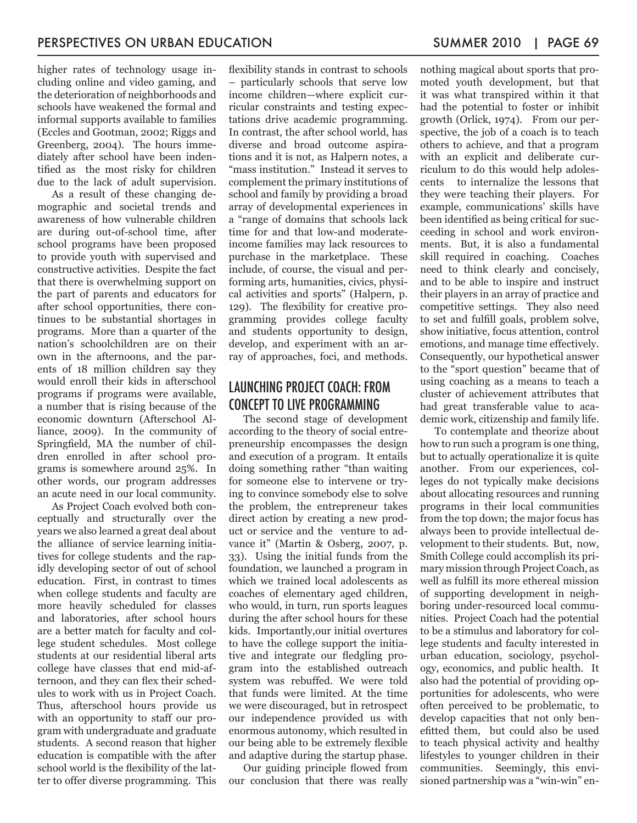higher rates of technology usage including online and video gaming, and the deterioration of neighborhoods and schools have weakened the formal and informal supports available to families (Eccles and Gootman, 2002; Riggs and Greenberg, 2004). The hours immediately after school have been indentified as the most risky for children due to the lack of adult supervision.

As a result of these changing demographic and societal trends and awareness of how vulnerable children are during out-of-school time, after school programs have been proposed to provide youth with supervised and constructive activities. Despite the fact that there is overwhelming support on the part of parents and educators for after school opportunities, there continues to be substantial shortages in programs. More than a quarter of the nation's schoolchildren are on their own in the afternoons, and the parents of 18 million children say they would enroll their kids in afterschool programs if programs were available, a number that is rising because of the economic downturn (Afterschool Alliance, 2009). In the community of Springfield, MA the number of children enrolled in after school programs is somewhere around 25%. In other words, our program addresses an acute need in our local community.

As Project Coach evolved both conceptually and structurally over the years we also learned a great deal about the alliance of service learning initiatives for college students and the rapidly developing sector of out of school education. First, in contrast to times when college students and faculty are more heavily scheduled for classes and laboratories, after school hours are a better match for faculty and college student schedules. Most college students at our residential liberal arts college have classes that end mid-afternoon, and they can flex their schedules to work with us in Project Coach. Thus, afterschool hours provide us with an opportunity to staff our program with undergraduate and graduate students. A second reason that higher education is compatible with the after school world is the flexibility of the latter to offer diverse programming. This

flexibility stands in contrast to schools – particularly schools that serve low income children—where explicit curricular constraints and testing expectations drive academic programming. In contrast, the after school world, has diverse and broad outcome aspirations and it is not, as Halpern notes, a "mass institution." Instead it serves to complement the primary institutions of school and family by providing a broad array of developmental experiences in a "range of domains that schools lack time for and that low-and moderateincome families may lack resources to purchase in the marketplace. These include, of course, the visual and performing arts, humanities, civics, physical activities and sports" (Halpern, p. 129). The flexibility for creative programming provides college faculty and students opportunity to design, develop, and experiment with an array of approaches, foci, and methods.

#### LAUNCHING PROJECT COACH: FROM CONCEPT TO LIVE PROGRAMMING

The second stage of development according to the theory of social entrepreneurship encompasses the design and execution of a program. It entails doing something rather "than waiting for someone else to intervene or trying to convince somebody else to solve the problem, the entrepreneur takes direct action by creating a new product or service and the venture to advance it" (Martin & Osberg, 2007, p. 33). Using the initial funds from the foundation, we launched a program in which we trained local adolescents as coaches of elementary aged children, who would, in turn, run sports leagues during the after school hours for these kids. Importantly,our initial overtures to have the college support the initiative and integrate our fledgling program into the established outreach system was rebuffed. We were told that funds were limited. At the time we were discouraged, but in retrospect our independence provided us with enormous autonomy, which resulted in our being able to be extremely flexible and adaptive during the startup phase.

Our guiding principle flowed from our conclusion that there was really nothing magical about sports that promoted youth development, but that it was what transpired within it that had the potential to foster or inhibit growth (Orlick, 1974). From our perspective, the job of a coach is to teach others to achieve, and that a program with an explicit and deliberate curriculum to do this would help adolescents to internalize the lessons that they were teaching their players. For example, communications' skills have been identified as being critical for succeeding in school and work environments. But, it is also a fundamental skill required in coaching. Coaches need to think clearly and concisely, and to be able to inspire and instruct their players in an array of practice and competitive settings. They also need to set and fulfill goals, problem solve, show initiative, focus attention, control emotions, and manage time effectively. Consequently, our hypothetical answer to the "sport question" became that of using coaching as a means to teach a cluster of achievement attributes that had great transferable value to academic work, citizenship and family life.

To contemplate and theorize about how to run such a program is one thing, but to actually operationalize it is quite another. From our experiences, colleges do not typically make decisions about allocating resources and running programs in their local communities from the top down; the major focus has always been to provide intellectual development to their students. But, now, Smith College could accomplish its primary mission through Project Coach, as well as fulfill its more ethereal mission of supporting development in neighboring under-resourced local communities. Project Coach had the potential to be a stimulus and laboratory for college students and faculty interested in urban education, sociology, psychology, economics, and public health. It also had the potential of providing opportunities for adolescents, who were often perceived to be problematic, to develop capacities that not only benefitted them, but could also be used to teach physical activity and healthy lifestyles to younger children in their communities. Seemingly, this envisioned partnership was a "win-win" en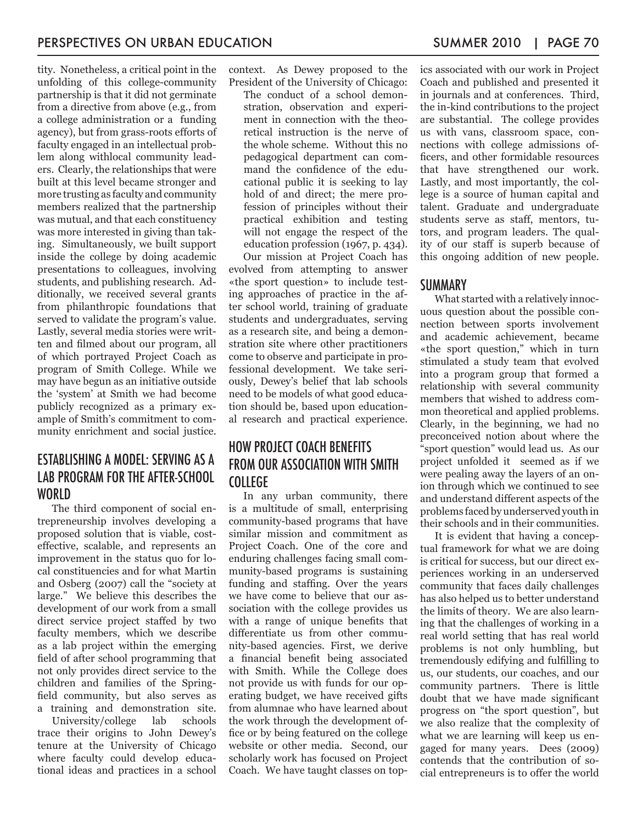tity. Nonetheless, a critical point in the unfolding of this college-community partnership is that it did not germinate from a directive from above (e.g., from a college administration or a funding agency), but from grass-roots efforts of faculty engaged in an intellectual problem along withlocal community leaders. Clearly, the relationships that were built at this level became stronger and more trusting as faculty and community members realized that the partnership was mutual, and that each constituency was more interested in giving than taking. Simultaneously, we built support inside the college by doing academic presentations to colleagues, involving students, and publishing research. Additionally, we received several grants from philanthropic foundations that served to validate the program's value. Lastly, several media stories were written and filmed about our program, all of which portrayed Project Coach as program of Smith College. While we may have begun as an initiative outside the 'system' at Smith we had become publicly recognized as a primary example of Smith's commitment to community enrichment and social justice.

#### ESTABLISHING A MODEL: SERVING AS A LAB PROGRAM FOR THE AFTER-SCHOOL WORLD.

The third component of social entrepreneurship involves developing a proposed solution that is viable, costeffective, scalable, and represents an improvement in the status quo for local constituencies and for what Martin and Osberg (2007) call the "society at large." We believe this describes the development of our work from a small direct service project staffed by two faculty members, which we describe as a lab project within the emerging field of after school programming that not only provides direct service to the children and families of the Springfield community, but also serves as a training and demonstration site.

University/college lab schools trace their origins to John Dewey's tenure at the University of Chicago where faculty could develop educational ideas and practices in a school context. As Dewey proposed to the President of the University of Chicago:

The conduct of a school demonstration, observation and experiment in connection with the theoretical instruction is the nerve of the whole scheme. Without this no pedagogical department can command the confidence of the educational public it is seeking to lay hold of and direct; the mere profession of principles without their practical exhibition and testing will not engage the respect of the education profession (1967, p. 434).

Our mission at Project Coach has evolved from attempting to answer «the sport question» to include testing approaches of practice in the after school world, training of graduate students and undergraduates, serving as a research site, and being a demonstration site where other practitioners come to observe and participate in professional development. We take seriously, Dewey's belief that lab schools need to be models of what good education should be, based upon educational research and practical experience.

## HOW PROJECT COACH BENEFITS FROM OUR ASSOCIATION WITH SMITH COLLEGE

In any urban community, there is a multitude of small, enterprising community-based programs that have similar mission and commitment as Project Coach. One of the core and enduring challenges facing small community-based programs is sustaining funding and staffing. Over the years we have come to believe that our association with the college provides us with a range of unique benefits that differentiate us from other community-based agencies. First, we derive a financial benefit being associated with Smith. While the College does not provide us with funds for our operating budget, we have received gifts from alumnae who have learned about the work through the development office or by being featured on the college website or other media. Second, our scholarly work has focused on Project Coach. We have taught classes on topics associated with our work in Project Coach and published and presented it in journals and at conferences. Third, the in-kind contributions to the project are substantial. The college provides us with vans, classroom space, connections with college admissions officers, and other formidable resources that have strengthened our work. Lastly, and most importantly, the college is a source of human capital and talent. Graduate and undergraduate students serve as staff, mentors, tutors, and program leaders. The quality of our staff is superb because of this ongoing addition of new people.

#### **SUMMARY**

What started with a relatively innocuous question about the possible connection between sports involvement and academic achievement, became «the sport question," which in turn stimulated a study team that evolved into a program group that formed a relationship with several community members that wished to address common theoretical and applied problems. Clearly, in the beginning, we had no preconceived notion about where the "sport question" would lead us. As our project unfolded it seemed as if we were pealing away the layers of an onion through which we continued to see and understand different aspects of the problems faced by underserved youth in their schools and in their communities.

It is evident that having a conceptual framework for what we are doing is critical for success, but our direct experiences working in an underserved community that faces daily challenges has also helped us to better understand the limits of theory. We are also learning that the challenges of working in a real world setting that has real world problems is not only humbling, but tremendously edifying and fulfilling to us, our students, our coaches, and our community partners. There is little doubt that we have made significant progress on "the sport question", but we also realize that the complexity of what we are learning will keep us engaged for many years. Dees (2009) contends that the contribution of social entrepreneurs is to offer the world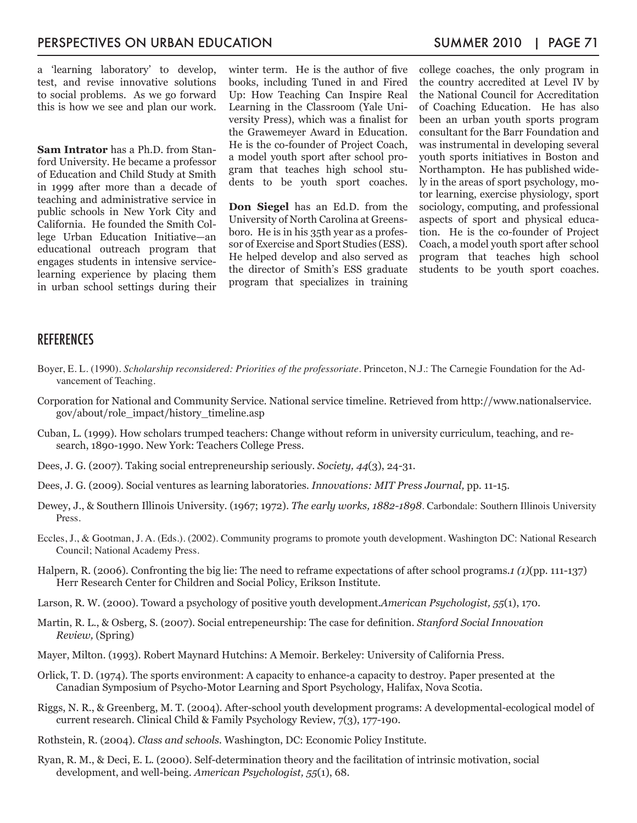a 'learning laboratory' to develop, test, and revise innovative solutions to social problems. As we go forward this is how we see and plan our work.

**Sam Intrator** has a Ph.D. from Stanford University. He became a professor of Education and Child Study at Smith in 1999 after more than a decade of teaching and administrative service in public schools in New York City and California. He founded the Smith College Urban Education Initiative—an educational outreach program that engages students in intensive servicelearning experience by placing them in urban school settings during their

winter term. He is the author of five books, including Tuned in and Fired Up: How Teaching Can Inspire Real Learning in the Classroom (Yale University Press), which was a finalist for the Grawemeyer Award in Education. He is the co-founder of Project Coach, a model youth sport after school program that teaches high school students to be youth sport coaches.

**Don Siegel** has an Ed.D. from the University of North Carolina at Greensboro. He is in his 35th year as a professor of Exercise and Sport Studies (ESS). He helped develop and also served as the director of Smith's ESS graduate program that specializes in training college coaches, the only program in the country accredited at Level IV by the National Council for Accreditation of Coaching Education. He has also been an urban youth sports program consultant for the Barr Foundation and was instrumental in developing several youth sports initiatives in Boston and Northampton. He has published widely in the areas of sport psychology, motor learning, exercise physiology, sport sociology, computing, and professional aspects of sport and physical education. He is the co-founder of Project Coach, a model youth sport after school program that teaches high school students to be youth sport coaches.

#### REFERENCES

- Boyer, E. L. (1990). *Scholarship reconsidered: Priorities of the professoriate*. Princeton, N.J.: The Carnegie Foundation for the Advancement of Teaching.
- Corporation for National and Community Service. National service timeline. Retrieved from http://www.nationalservice. gov/about/role\_impact/history\_timeline.asp
- Cuban, L. (1999). How scholars trumped teachers: Change without reform in university curriculum, teaching, and research, 1890-1990. New York: Teachers College Press.
- Dees, J. G. (2007). Taking social entrepreneurship seriously. *Society, 44*(3), 24-31.
- Dees, J. G. (2009). Social ventures as learning laboratories. *Innovations: MIT Press Journal,* pp. 11-15.
- Dewey, J., & Southern Illinois University. (1967; 1972). *The early works, 1882-1898*. Carbondale: Southern Illinois University Press.
- Eccles, J., & Gootman, J. A. (Eds.). (2002). Community programs to promote youth development. Washington DC: National Research Council; National Academy Press.
- Halpern, R. (2006). Confronting the big lie: The need to reframe expectations of after school programs.*1 (1)*(pp. 111-137) Herr Research Center for Children and Social Policy, Erikson Institute.
- Larson, R. W. (2000). Toward a psychology of positive youth development.*American Psychologist, 55*(1), 170.
- Martin, R. L., & Osberg, S. (2007). Social entrepeneurship: The case for definition. *Stanford Social Innovation Review,* (Spring)
- Mayer, Milton. (1993). Robert Maynard Hutchins: A Memoir. Berkeley: University of California Press.
- Orlick, T. D. (1974). The sports environment: A capacity to enhance-a capacity to destroy. Paper presented at the Canadian Symposium of Psycho-Motor Learning and Sport Psychology, Halifax, Nova Scotia.
- Riggs, N. R., & Greenberg, M. T. (2004). After-school youth development programs: A developmental-ecological model of current research. Clinical Child & Family Psychology Review, 7(3), 177-190.
- Rothstein, R. (2004). *Class and schools*. Washington, DC: Economic Policy Institute.
- Ryan, R. M., & Deci, E. L. (2000). Self-determination theory and the facilitation of intrinsic motivation, social development, and well-being. *American Psychologist, 55*(1), 68.